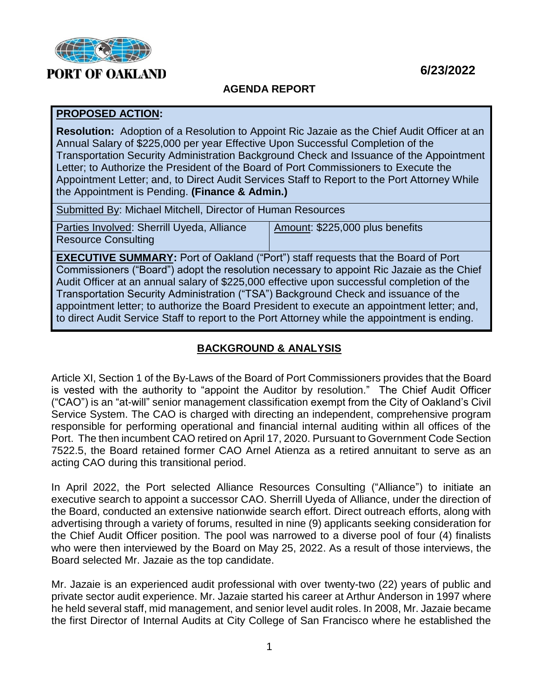

### **6/23/2022**

#### **AGENDA REPORT**

#### **PROPOSED ACTION:**

**Resolution:** Adoption of a Resolution to Appoint Ric Jazaie as the Chief Audit Officer at an Annual Salary of \$225,000 per year Effective Upon Successful Completion of the Transportation Security Administration Background Check and Issuance of the Appointment Letter; to Authorize the President of the Board of Port Commissioners to Execute the Appointment Letter; and, to Direct Audit Services Staff to Report to the Port Attorney While the Appointment is Pending. **(Finance & Admin.)**

Parties Involved: Sherrill Uyeda, Alliance Resource Consulting Amount: \$225,000 plus benefits

**EXECUTIVE SUMMARY:** Port of Oakland ("Port") staff requests that the Board of Port Commissioners ("Board") adopt the resolution necessary to appoint Ric Jazaie as the Chief Audit Officer at an annual salary of \$225,000 effective upon successful completion of the Transportation Security Administration ("TSA") Background Check and issuance of the appointment letter; to authorize the Board President to execute an appointment letter; and, to direct Audit Service Staff to report to the Port Attorney while the appointment is ending.

# **BACKGROUND & ANALYSIS**

Article XI, Section 1 of the By-Laws of the Board of Port Commissioners provides that the Board is vested with the authority to "appoint the Auditor by resolution." The Chief Audit Officer ("CAO") is an "at-will" senior management classification exempt from the City of Oakland's Civil Service System. The CAO is charged with directing an independent, comprehensive program responsible for performing operational and financial internal auditing within all offices of the Port. The then incumbent CAO retired on April 17, 2020. Pursuant to Government Code Section 7522.5, the Board retained former CAO Arnel Atienza as a retired annuitant to serve as an acting CAO during this transitional period.

In April 2022, the Port selected Alliance Resources Consulting ("Alliance") to initiate an executive search to appoint a successor CAO. Sherrill Uyeda of Alliance, under the direction of the Board, conducted an extensive nationwide search effort. Direct outreach efforts, along with advertising through a variety of forums, resulted in nine (9) applicants seeking consideration for the Chief Audit Officer position. The pool was narrowed to a diverse pool of four (4) finalists who were then interviewed by the Board on May 25, 2022. As a result of those interviews, the Board selected Mr. Jazaie as the top candidate.

Mr. Jazaie is an experienced audit professional with over twenty-two (22) years of public and private sector audit experience. Mr. Jazaie started his career at Arthur Anderson in 1997 where he held several staff, mid management, and senior level audit roles. In 2008, Mr. Jazaie became the first Director of Internal Audits at City College of San Francisco where he established the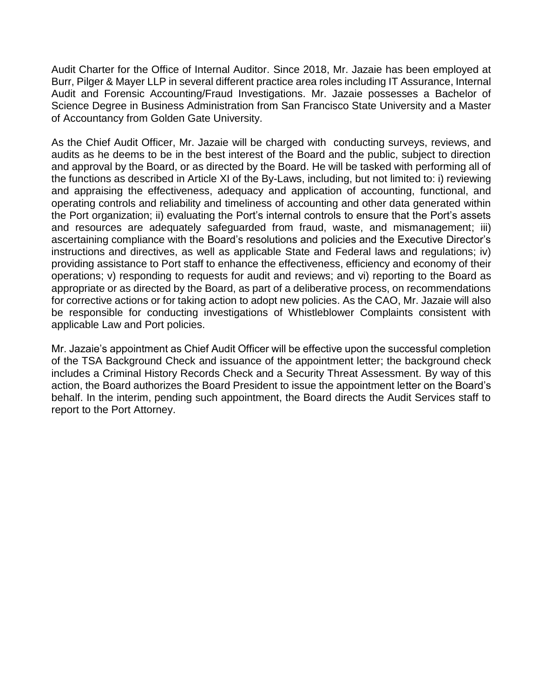Audit Charter for the Office of Internal Auditor. Since 2018, Mr. Jazaie has been employed at Burr, Pilger & Mayer LLP in several different practice area roles including IT Assurance, Internal Audit and Forensic Accounting/Fraud Investigations. Mr. Jazaie possesses a Bachelor of Science Degree in Business Administration from San Francisco State University and a Master of Accountancy from Golden Gate University.

As the Chief Audit Officer, Mr. Jazaie will be charged with conducting surveys, reviews, and audits as he deems to be in the best interest of the Board and the public, subject to direction and approval by the Board, or as directed by the Board. He will be tasked with performing all of the functions as described in Article XI of the By-Laws, including, but not limited to: i) reviewing and appraising the effectiveness, adequacy and application of accounting, functional, and operating controls and reliability and timeliness of accounting and other data generated within the Port organization; ii) evaluating the Port's internal controls to ensure that the Port's assets and resources are adequately safeguarded from fraud, waste, and mismanagement; iii) ascertaining compliance with the Board's resolutions and policies and the Executive Director's instructions and directives, as well as applicable State and Federal laws and regulations; iv) providing assistance to Port staff to enhance the effectiveness, efficiency and economy of their operations; v) responding to requests for audit and reviews; and vi) reporting to the Board as appropriate or as directed by the Board, as part of a deliberative process, on recommendations for corrective actions or for taking action to adopt new policies. As the CAO, Mr. Jazaie will also be responsible for conducting investigations of Whistleblower Complaints consistent with applicable Law and Port policies.

Mr. Jazaie's appointment as Chief Audit Officer will be effective upon the successful completion of the TSA Background Check and issuance of the appointment letter; the background check includes a Criminal History Records Check and a Security Threat Assessment. By way of this action, the Board authorizes the Board President to issue the appointment letter on the Board's behalf. In the interim, pending such appointment, the Board directs the Audit Services staff to report to the Port Attorney.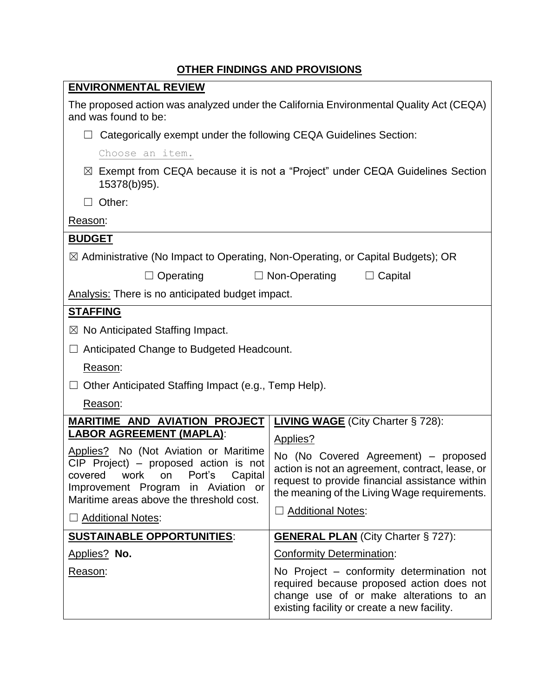| <b>ENVIRONMENTAL REVIEW</b>                                                                                                                                                                                                                   |                                                                                                                                                                                                                       |  |
|-----------------------------------------------------------------------------------------------------------------------------------------------------------------------------------------------------------------------------------------------|-----------------------------------------------------------------------------------------------------------------------------------------------------------------------------------------------------------------------|--|
| The proposed action was analyzed under the California Environmental Quality Act (CEQA)<br>and was found to be:                                                                                                                                |                                                                                                                                                                                                                       |  |
| Categorically exempt under the following CEQA Guidelines Section:                                                                                                                                                                             |                                                                                                                                                                                                                       |  |
| Choose an item.                                                                                                                                                                                                                               |                                                                                                                                                                                                                       |  |
| $\boxtimes$ Exempt from CEQA because it is not a "Project" under CEQA Guidelines Section<br>15378(b)95).                                                                                                                                      |                                                                                                                                                                                                                       |  |
| $\Box$ Other:                                                                                                                                                                                                                                 |                                                                                                                                                                                                                       |  |
| Reason:                                                                                                                                                                                                                                       |                                                                                                                                                                                                                       |  |
| <b>BUDGET</b>                                                                                                                                                                                                                                 |                                                                                                                                                                                                                       |  |
| $\boxtimes$ Administrative (No Impact to Operating, Non-Operating, or Capital Budgets); OR                                                                                                                                                    |                                                                                                                                                                                                                       |  |
| $\Box$ Operating<br>$\Box$ Non-Operating<br>$\Box$ Capital                                                                                                                                                                                    |                                                                                                                                                                                                                       |  |
| <b>Analysis:</b> There is no anticipated budget impact.                                                                                                                                                                                       |                                                                                                                                                                                                                       |  |
| <b>STAFFING</b>                                                                                                                                                                                                                               |                                                                                                                                                                                                                       |  |
| $\boxtimes$ No Anticipated Staffing Impact.                                                                                                                                                                                                   |                                                                                                                                                                                                                       |  |
| $\Box$ Anticipated Change to Budgeted Headcount.                                                                                                                                                                                              |                                                                                                                                                                                                                       |  |
| Reason:                                                                                                                                                                                                                                       |                                                                                                                                                                                                                       |  |
| $\Box$ Other Anticipated Staffing Impact (e.g., Temp Help).                                                                                                                                                                                   |                                                                                                                                                                                                                       |  |
| Reason:                                                                                                                                                                                                                                       |                                                                                                                                                                                                                       |  |
| <b>MARITIME AND AVIATION PROJECT   LIVING WAGE (City Charter § 728):</b>                                                                                                                                                                      |                                                                                                                                                                                                                       |  |
| <b>LABOR AGREEMENT (MAPLA):</b>                                                                                                                                                                                                               | Applies?                                                                                                                                                                                                              |  |
| Applies? No (Not Aviation or Maritime<br>CIP Project) – proposed action is not<br>Port's<br>Capital<br>covered<br>work<br>on<br>Improvement Program<br>in Aviation or<br>Maritime areas above the threshold cost.<br><b>Additional Notes:</b> | No (No Covered Agreement) – proposed<br>action is not an agreement, contract, lease, or<br>request to provide financial assistance within<br>the meaning of the Living Wage requirements.<br><b>Additional Notes:</b> |  |
| <b>SUSTAINABLE OPPORTUNITIES:</b>                                                                                                                                                                                                             | <b>GENERAL PLAN</b> (City Charter § 727):                                                                                                                                                                             |  |
| Applies? No.                                                                                                                                                                                                                                  | <b>Conformity Determination:</b>                                                                                                                                                                                      |  |
| Reason:                                                                                                                                                                                                                                       | No Project – conformity determination not<br>required because proposed action does not<br>change use of or make alterations to an<br>existing facility or create a new facility.                                      |  |

## **OTHER FINDINGS AND PROVISIONS**